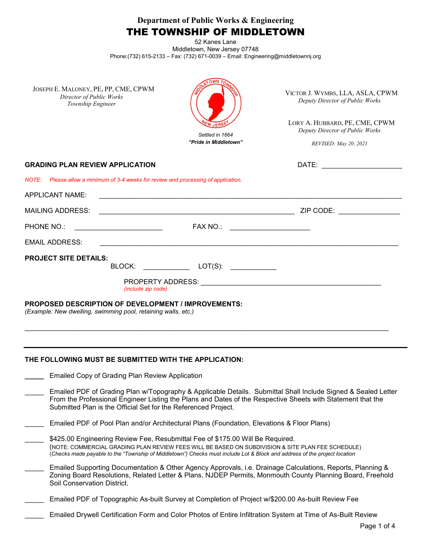**Department of Public Works & Engineering**

# THE TOWNSHIP OF MIDDLETOWN

52 Kanes Lane Middletown, New Jersey 07748 Phone:(732) 615-2133 – Fax: (732) 671-0039 – Email: Engineering@middletownnj.org

| JOSEPH E. MALONEY, PE, PP, CME, CPWM |
|--------------------------------------|
| Director of Public Works             |
| Township Engineer                    |



VICTOR J. WYMBS, LLA, ASLA, CPWM *Deputy Director of Public Works*

LORY A. HUBBARD, PE, CME, CPWM *Deputy Director of Public Works*

*REVISED: May 20, 2021*

**DATE:**  $\blacksquare$ 

| <b>GRADING PLAN REVIEW APPLICATION</b> |  |
|----------------------------------------|--|
|                                        |  |

*NOTE: Please allow a minimum of 3-4 weeks for review and processing of application.*

| APPLICANT NAME:                                                                                                             |                                                                                                                                                                                                                                                      |                                 |  |
|-----------------------------------------------------------------------------------------------------------------------------|------------------------------------------------------------------------------------------------------------------------------------------------------------------------------------------------------------------------------------------------------|---------------------------------|--|
| <b>MAILING ADDRESS:</b>                                                                                                     |                                                                                                                                                                                                                                                      | ZIP CODE: <u>______________</u> |  |
| <b>PHONE NO.:</b>                                                                                                           | FAX NO.:                                                                                                                                                                                                                                             |                                 |  |
| <b>EMAIL ADDRESS:</b>                                                                                                       |                                                                                                                                                                                                                                                      |                                 |  |
| <b>PROJECT SITE DETAILS:</b>                                                                                                | BLOCK:<br>$LOT(S)$ :                                                                                                                                                                                                                                 |                                 |  |
|                                                                                                                             | PROPERTY ADDRESS: North and the state of the state of the state of the state of the state of the state of the state of the state of the state of the state of the state of the state of the state of the state of the state of<br>(include zip code) |                                 |  |
| <b>PROPOSED DESCRIPTION OF DEVELOPMENT / IMPROVEMENTS:</b><br>(Example: New dwelling, swimming pool, retaining walls, etc.) |                                                                                                                                                                                                                                                      |                                 |  |

#### **THE FOLLOWING MUST BE SUBMITTED WITH THE APPLICATION:**

- **\_\_\_\_\_** Emailed Copy of Grading Plan Review Application
- Emailed PDF of Grading Plan w/Topography & Applicable Details. Submittal Shall Include Signed & Sealed Letter From the Professional Engineer Listing the Plans and Dates of the Respective Sheets with Statement that the Submitted Plan is the Official Set for the Referenced Project.

\_\_\_\_\_\_\_\_\_\_\_\_\_\_\_\_\_\_\_\_\_\_\_\_\_\_\_\_\_\_\_\_\_\_\_\_\_\_\_\_\_\_\_\_\_\_\_\_\_\_\_\_\_\_\_\_\_\_\_\_\_\_\_\_\_\_\_\_\_\_\_\_\_\_\_\_\_\_\_\_\_\_\_\_\_\_\_\_\_\_\_\_\_\_\_

- Emailed PDF of Pool Plan and/or Architectural Plans (Foundation, Elevations & Floor Plans)
- \$425.00 Engineering Review Fee, Resubmittal Fee of \$175.00 Will Be Required. (NOTE: COMMERCIAL GRADING PLAN REVIEW FEES WILL BE BASED ON SUBDIVISION & SITE PLAN FEE SCHEDULE) (*Checks made payable to the "Township of Middletown") Checks must include Lot & Block and address of the project location*
- Emailed Supporting Documentation & Other Agency Approvals, i.e. Drainage Calculations, Reports, Planning & Zoning Board Resolutions, Related Letter & Plans, NJDEP Permits, Monmouth County Planning Board, Freehold Soil Conservation District.
- \_\_\_\_\_ Emailed PDF of Topographic As-built Survey at Completion of Project w/\$200.00 As-built Review Fee
- \_\_\_\_\_ Emailed Drywell Certification Form and Color Photos of Entire Infiltration System at Time of As-Built Review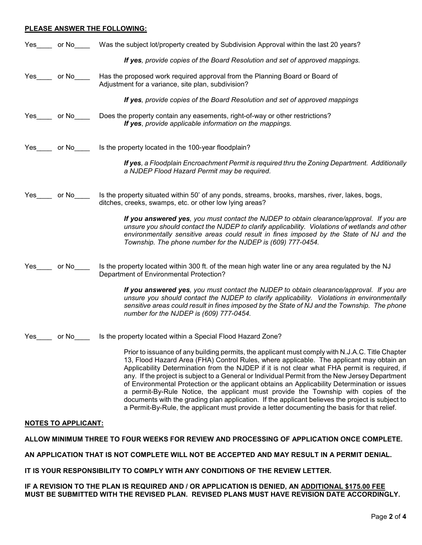#### **PLEASE ANSWER THE FOLLOWING:**

| Yes |         | or No Was the subject lot/property created by Subdivision Approval within the last 20 years?                                                                                                                                                                                                                                                                                                                                                                                                                                                                                                                                                                                                                                                                                                 |
|-----|---------|----------------------------------------------------------------------------------------------------------------------------------------------------------------------------------------------------------------------------------------------------------------------------------------------------------------------------------------------------------------------------------------------------------------------------------------------------------------------------------------------------------------------------------------------------------------------------------------------------------------------------------------------------------------------------------------------------------------------------------------------------------------------------------------------|
|     |         | If yes, provide copies of the Board Resolution and set of approved mappings.                                                                                                                                                                                                                                                                                                                                                                                                                                                                                                                                                                                                                                                                                                                 |
| Yes | or No   | Has the proposed work required approval from the Planning Board or Board of<br>Adjustment for a variance, site plan, subdivision?                                                                                                                                                                                                                                                                                                                                                                                                                                                                                                                                                                                                                                                            |
|     |         | If yes, provide copies of the Board Resolution and set of approved mappings                                                                                                                                                                                                                                                                                                                                                                                                                                                                                                                                                                                                                                                                                                                  |
| Yes | or Note | Does the property contain any easements, right-of-way or other restrictions?<br>If yes, provide applicable information on the mappings.                                                                                                                                                                                                                                                                                                                                                                                                                                                                                                                                                                                                                                                      |
| Yes | or $No$ | Is the property located in the 100-year floodplain?                                                                                                                                                                                                                                                                                                                                                                                                                                                                                                                                                                                                                                                                                                                                          |
|     |         | <b>If yes</b> , a Floodplain Encroachment Permit is required thru the Zoning Department. Additionally<br>a NJDEP Flood Hazard Permit may be required.                                                                                                                                                                                                                                                                                                                                                                                                                                                                                                                                                                                                                                        |
| Yes | or No   | Is the property situated within 50' of any ponds, streams, brooks, marshes, river, lakes, bogs,<br>ditches, creeks, swamps, etc. or other low lying areas?                                                                                                                                                                                                                                                                                                                                                                                                                                                                                                                                                                                                                                   |
|     |         | If you answered yes, you must contact the NJDEP to obtain clearance/approval. If you are<br>unsure you should contact the NJDEP to clarify applicability. Violations of wetlands and other<br>environmentally sensitive areas could result in fines imposed by the State of NJ and the<br>Township. The phone number for the NJDEP is (609) 777-0454.                                                                                                                                                                                                                                                                                                                                                                                                                                        |
| Yes | or No   | Is the property located within 300 ft. of the mean high water line or any area regulated by the NJ<br>Department of Environmental Protection?                                                                                                                                                                                                                                                                                                                                                                                                                                                                                                                                                                                                                                                |
|     |         | If you answered yes, you must contact the NJDEP to obtain clearance/approval. If you are<br>unsure you should contact the NJDEP to clarify applicability. Violations in environmentally<br>sensitive areas could result in fines imposed by the State of NJ and the Township. The phone<br>number for the NJDEP is (609) 777-0454.                                                                                                                                                                                                                                                                                                                                                                                                                                                           |
| Yes | or No   | Is the property located within a Special Flood Hazard Zone?                                                                                                                                                                                                                                                                                                                                                                                                                                                                                                                                                                                                                                                                                                                                  |
|     |         | Prior to issuance of any building permits, the applicant must comply with N.J.A.C. Title Chapter<br>13, Flood Hazard Area (FHA) Control Rules, where applicable. The applicant may obtain an<br>Applicability Determination from the NJDEP if it is not clear what FHA permit is required, if<br>any. If the project is subject to a General or Individual Permit from the New Jersey Department<br>of Environmental Protection or the applicant obtains an Applicability Determination or issues<br>a permit-By-Rule Notice, the applicant must provide the Township with copies of the<br>documents with the grading plan application. If the applicant believes the project is subject to<br>a Permit-By-Rule, the applicant must provide a letter documenting the basis for that relief. |

#### **NOTES TO APPLICANT:**

**ALLOW MINIMUM THREE TO FOUR WEEKS FOR REVIEW AND PROCESSING OF APPLICATION ONCE COMPLETE.**

**AN APPLICATION THAT IS NOT COMPLETE WILL NOT BE ACCEPTED AND MAY RESULT IN A PERMIT DENIAL.**

**IT IS YOUR RESPONSIBILITY TO COMPLY WITH ANY CONDITIONS OF THE REVIEW LETTER.** 

**IF A REVISION TO THE PLAN IS REQUIRED AND / OR APPLICATION IS DENIED, AN ADDITIONAL \$175.00 FEE MUST BE SUBMITTED WITH THE REVISED PLAN. REVISED PLANS MUST HAVE REVISION DATE ACCORDINGLY.**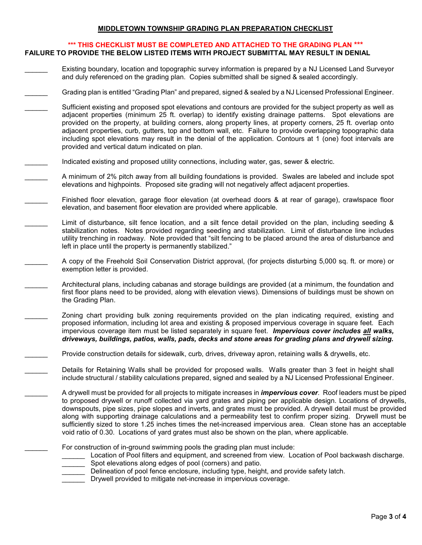#### **MIDDLETOWN TOWNSHIP GRADING PLAN PREPARATION CHECKLIST**

#### **\*\*\* THIS CHECKLIST MUST BE COMPLETED AND ATTACHED TO THE GRADING PLAN \*\*\* FAILURE TO PROVIDE THE BELOW LISTED ITEMS WITH PROJECT SUBMITTAL MAY RESULT IN DENIAL**

- Existing boundary, location and topographic survey information is prepared by a NJ Licensed Land Surveyor and duly referenced on the grading plan. Copies submitted shall be signed & sealed accordingly.
- Grading plan is entitled "Grading Plan" and prepared, signed & sealed by a NJ Licensed Professional Engineer.
- Sufficient existing and proposed spot elevations and contours are provided for the subject property as well as adjacent properties (minimum 25 ft. overlap) to identify existing drainage patterns. Spot elevations are provided on the property, at building corners, along property lines, at property corners, 25 ft. overlap onto adjacent properties, curb, gutters, top and bottom wall, etc. Failure to provide overlapping topographic data including spot elevations may result in the denial of the application. Contours at 1 (one) foot intervals are provided and vertical datum indicated on plan.
- Indicated existing and proposed utility connections, including water, gas, sewer & electric.
	- A minimum of 2% pitch away from all building foundations is provided. Swales are labeled and include spot elevations and highpoints. Proposed site grading will not negatively affect adjacent properties.
- Finished floor elevation, garage floor elevation (at overhead doors & at rear of garage), crawlspace floor elevation, and basement floor elevation are provided where applicable.
- Limit of disturbance, silt fence location, and a silt fence detail provided on the plan, including seeding & stabilization notes. Notes provided regarding seeding and stabilization. Limit of disturbance line includes utility trenching in roadway. Note provided that "silt fencing to be placed around the area of disturbance and left in place until the property is permanently stabilized."
	- \_\_\_\_\_\_ A copy of the Freehold Soil Conservation District approval, (for projects disturbing 5,000 sq. ft. or more) or exemption letter is provided.
	- Architectural plans, including cabanas and storage buildings are provided (at a minimum, the foundation and first floor plans need to be provided, along with elevation views). Dimensions of buildings must be shown on the Grading Plan.
	- Zoning chart providing bulk zoning requirements provided on the plan indicating required, existing and proposed information, including lot area and existing & proposed impervious coverage in square feet. Each impervious coverage item must be listed separately in square feet. *Impervious cover includes all walks, driveways, buildings, patios, walls, pads, decks and stone areas for grading plans and drywell sizing.*
	- Provide construction details for sidewalk, curb, drives, driveway apron, retaining walls & drywells, etc.
	- Details for Retaining Walls shall be provided for proposed walls. Walls greater than 3 feet in height shall include structural / stability calculations prepared, signed and sealed by a NJ Licensed Professional Engineer.
	- \_\_\_\_\_\_ A drywell must be provided for all projects to mitigate increases in *impervious cover*. Roof leaders must be piped to proposed drywell or runoff collected via yard grates and piping per applicable design. Locations of drywells, downspouts, pipe sizes, pipe slopes and inverts, and grates must be provided. A drywell detail must be provided along with supporting drainage calculations and a permeability test to confirm proper sizing. Drywell must be sufficiently sized to store 1.25 inches times the net-increased impervious area. Clean stone has an acceptable void ratio of 0.30. Locations of yard grates must also be shown on the plan, where applicable.

For construction of in-ground swimming pools the grading plan must include:

- Location of Pool filters and equipment, and screened from view. Location of Pool backwash discharge. \_\_\_\_\_\_ Spot elevations along edges of pool (corners) and patio.
- Delineation of pool fence enclosure, including type, height, and provide safety latch.
- **Drywell provided to mitigate net-increase in impervious coverage.**